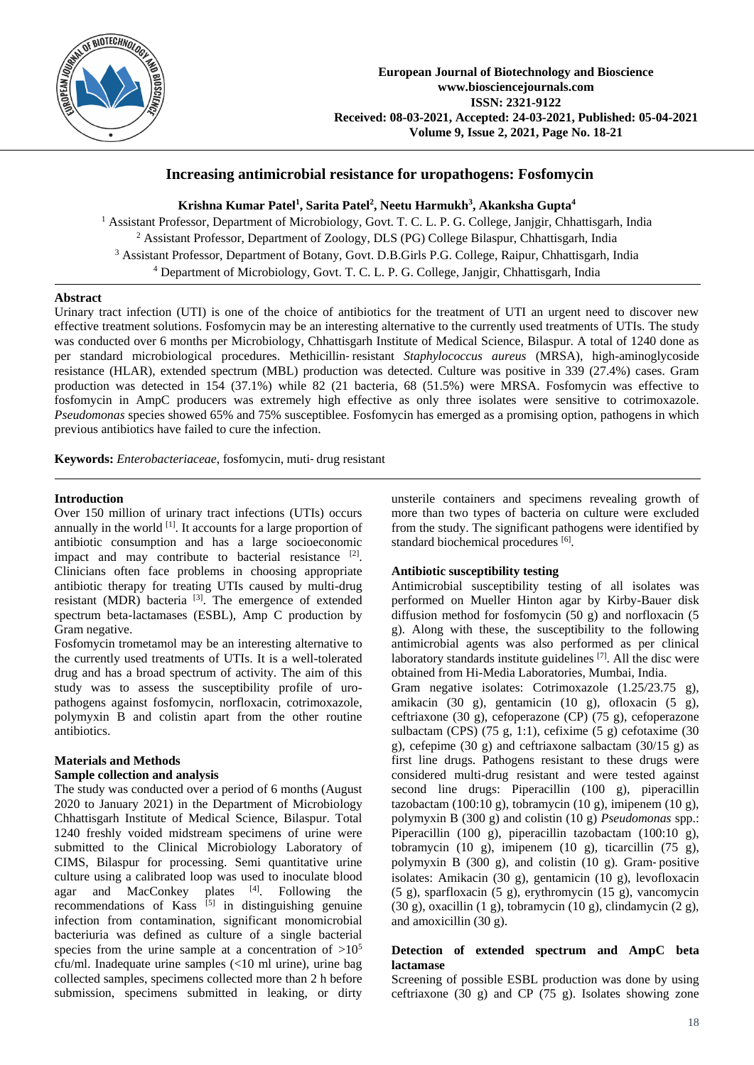

# **Increasing antimicrobial resistance for uropathogens: Fosfomycin**

**Krishna Kumar Patel<sup>1</sup> , Sarita Patel<sup>2</sup> , Neetu Harmukh<sup>3</sup> , Akanksha Gupta<sup>4</sup>**

<sup>1</sup> Assistant Professor, Department of Microbiology, Govt. T. C. L. P. G. College, Janjgir, Chhattisgarh, India Assistant Professor, Department of Zoology, DLS (PG) College Bilaspur, Chhattisgarh, India Assistant Professor, Department of Botany, Govt. D.B.Girls P.G. College, Raipur, Chhattisgarh, India Department of Microbiology, Govt. T. C. L. P. G. College, Janjgir, Chhattisgarh, India

### **Abstract**

Urinary tract infection (UTI) is one of the choice of antibiotics for the treatment of UTI an urgent need to discover new effective treatment solutions. Fosfomycin may be an interesting alternative to the currently used treatments of UTIs. The study was conducted over 6 months per Microbiology, Chhattisgarh Institute of Medical Science, Bilaspur. A total of 1240 done as per standard microbiological procedures. Methicillin‑ resistant *Staphylococcus aureus* (MRSA), high-aminoglycoside resistance (HLAR), extended spectrum (MBL) production was detected. Culture was positive in 339 (27.4%) cases. Gram production was detected in 154 (37.1%) while 82 (21 bacteria, 68 (51.5%) were MRSA. Fosfomycin was effective to fosfomycin in AmpC producers was extremely high effective as only three isolates were sensitive to cotrimoxazole. *Pseudomonas* species showed 65% and 75% susceptiblee. Fosfomycin has emerged as a promising option, pathogens in which previous antibiotics have failed to cure the infection.

**Keywords:** *Enterobacteriaceae*, fosfomycin, muti‑ drug resistant

### **Introduction**

Over 150 million of urinary tract infections (UTIs) occurs annually in the world  $[1]$ . It accounts for a large proportion of antibiotic consumption and has a large socioeconomic impact and may contribute to bacterial resistance [2]. Clinicians often face problems in choosing appropriate antibiotic therapy for treating UTIs caused by multi-drug resistant (MDR) bacteria<sup>[3]</sup>. The emergence of extended spectrum beta-lactamases (ESBL), Amp C production by Gram negative.

Fosfomycin trometamol may be an interesting alternative to the currently used treatments of UTIs. It is a well-tolerated drug and has a broad spectrum of activity. The aim of this study was to assess the susceptibility profile of uropathogens against fosfomycin, norfloxacin, cotrimoxazole, polymyxin B and colistin apart from the other routine antibiotics.

## **Materials and Methods**

### **Sample collection and analysis**

The study was conducted over a period of 6 months (August 2020 to January 2021) in the Department of Microbiology Chhattisgarh Institute of Medical Science, Bilaspur. Total 1240 freshly voided midstream specimens of urine were submitted to the Clinical Microbiology Laboratory of CIMS, Bilaspur for processing. Semi quantitative urine culture using a calibrated loop was used to inoculate blood agar and MacConkey plates [4]. Following the recommendations of Kass  $^{[5]}$  in distinguishing genuine infection from contamination, significant monomicrobial bacteriuria was defined as culture of a single bacterial species from the urine sample at a concentration of  $>10^5$ cfu/ml. Inadequate urine samples (<10 ml urine), urine bag collected samples, specimens collected more than 2 h before submission, specimens submitted in leaking, or dirty

unsterile containers and specimens revealing growth of more than two types of bacteria on culture were excluded from the study. The significant pathogens were identified by standard biochemical procedures [6].

### **Antibiotic susceptibility testing**

Antimicrobial susceptibility testing of all isolates was performed on Mueller Hinton agar by Kirby-Bauer disk diffusion method for fosfomycin (50 g) and norfloxacin (5 g). Along with these, the susceptibility to the following antimicrobial agents was also performed as per clinical laboratory standards institute guidelines<sup>[7]</sup>. All the disc were obtained from Hi-Media Laboratories, Mumbai, India.

Gram negative isolates: Cotrimoxazole (1.25/23.75 g), amikacin (30 g), gentamicin (10 g), ofloxacin (5 g), ceftriaxone (30 g), cefoperazone (CP) (75 g), cefoperazone sulbactam (CPS)  $(75 \text{ g}, 1:1)$ , cefixime  $(5 \text{ g})$  cefotaxime  $(30 \text{ g})$ g), cefepime (30 g) and ceftriaxone salbactam (30/15 g) as first line drugs. Pathogens resistant to these drugs were considered multi-drug resistant and were tested against second line drugs: Piperacillin (100 g), piperacillin tazobactam (100:10 g), tobramycin (10 g), imipenem (10 g), polymyxin B (300 g) and colistin (10 g) *Pseudomonas* spp.: Piperacillin (100 g), piperacillin tazobactam (100:10 g), tobramycin (10 g), imipenem (10 g), ticarcillin (75 g), polymyxin B  $(300 \text{ g})$ , and colistin  $(10 \text{ g})$ . Gram-positive isolates: Amikacin (30 g), gentamicin (10 g), levofloxacin (5 g), sparfloxacin (5 g), erythromycin (15 g), vancomycin  $(30 \text{ g})$ , oxacillin  $(1 \text{ g})$ , tobramycin  $(10 \text{ g})$ , clindamycin  $(2 \text{ g})$ , and amoxicillin (30 g).

### **Detection of extended spectrum and AmpC beta lactamase**

Screening of possible ESBL production was done by using ceftriaxone (30 g) and CP (75 g). Isolates showing zone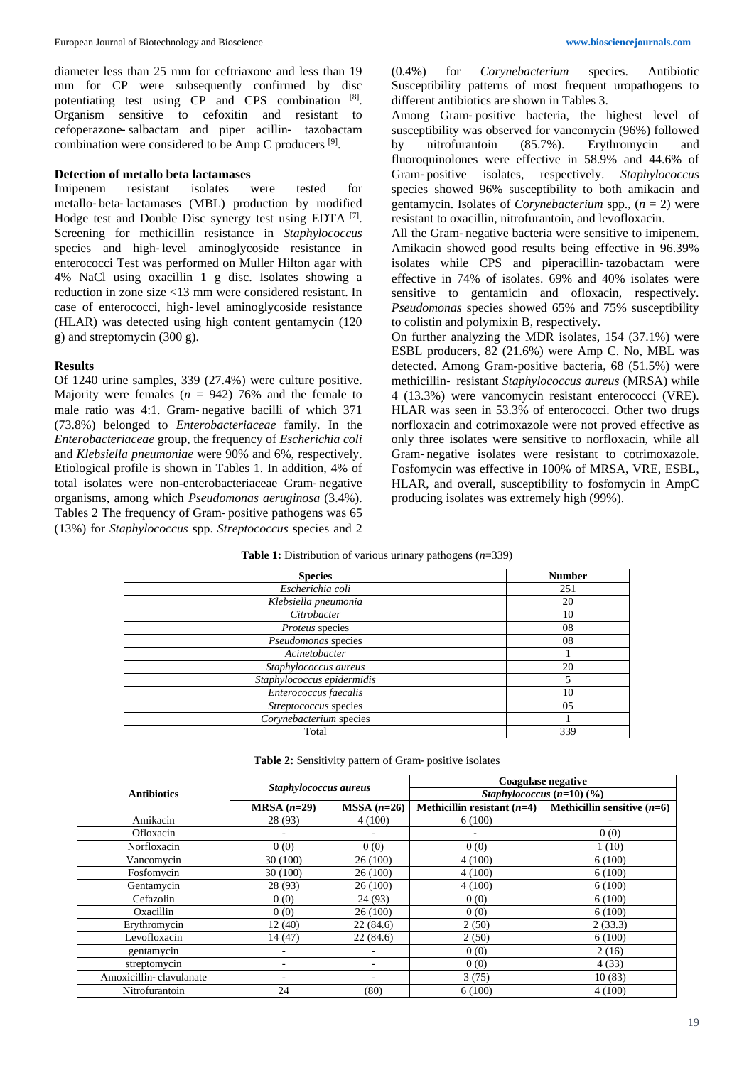diameter less than 25 mm for ceftriaxone and less than 19 mm for CP were subsequently confirmed by disc potentiating test using CP and CPS combination [8]. Organism sensitive to cefoxitin and resistant to cefoperazone‑salbactam and piper acillin‑ tazobactam combination were considered to be Amp C producers [9].

#### **Detection of metallo beta lactamases**

Imipenem resistant isolates were tested for metallo‑ beta‑ lactamases (MBL) production by modified Hodge test and Double Disc synergy test using EDTA  $[7]$ . Screening for methicillin resistance in *Staphylococcus* species and high-level aminoglycoside resistance in enterococci Test was performed on Muller Hilton agar with 4% NaCl using oxacillin 1 g disc. Isolates showing a reduction in zone size <13 mm were considered resistant. In case of enterococci, high-level aminoglycoside resistance (HLAR) was detected using high content gentamycin (120 g) and streptomycin (300 g).

### **Results**

Of 1240 urine samples, 339 (27.4%) were culture positive. Majority were females  $(n = 942)$  76% and the female to male ratio was 4:1. Gram‑ negative bacilli of which 371 (73.8%) belonged to *Enterobacteriaceae* family. In the *Enterobacteriaceae* group, the frequency of *Escherichia coli* and *Klebsiella pneumoniae* were 90% and 6%, respectively. Etiological profile is shown in Tables 1. In addition, 4% of total isolates were non-enterobacteriaceae Gram‑ negative organisms, among which *Pseudomonas aeruginosa* (3.4%). Tables 2 The frequency of Gram‑ positive pathogens was 65 (13%) for *Staphylococcus* spp. *Streptococcus* species and 2 (0.4%) for *Corynebacterium* species. Antibiotic Susceptibility patterns of most frequent uropathogens to different antibiotics are shown in Tables 3.

Among Gram‑ positive bacteria, the highest level of susceptibility was observed for vancomycin (96%) followed by nitrofurantoin (85.7%). Erythromycin and fluoroquinolones were effective in 58.9% and 44.6% of Gram‑ positive isolates, respectively. *Staphylococcus*  species showed 96% susceptibility to both amikacin and gentamycin. Isolates of *Corynebacterium* spp., (*n* = 2) were resistant to oxacillin, nitrofurantoin, and levofloxacin.

All the Gram‑ negative bacteria were sensitive to imipenem. Amikacin showed good results being effective in 96.39% isolates while CPS and piperacillin-tazobactam were effective in 74% of isolates. 69% and 40% isolates were sensitive to gentamicin and ofloxacin, respectively. *Pseudomonas* species showed 65% and 75% susceptibility to colistin and polymixin B, respectively.

On further analyzing the MDR isolates, 154 (37.1%) were ESBL producers, 82 (21.6%) were Amp C. No, MBL was detected. Among Gram-positive bacteria, 68 (51.5%) were methicillin‑ resistant *Staphylococcus aureus* (MRSA) while 4 (13.3%) were vancomycin resistant enterococci (VRE). HLAR was seen in 53.3% of enterococci. Other two drugs norfloxacin and cotrimoxazole were not proved effective as only three isolates were sensitive to norfloxacin, while all Gram‑ negative isolates were resistant to cotrimoxazole. Fosfomycin was effective in 100% of MRSA, VRE, ESBL, HLAR, and overall, susceptibility to fosfomycin in AmpC producing isolates was extremely high (99%).

| <b>Table 1:</b> Distribution of various urinary pathogens $(n=339)$ |
|---------------------------------------------------------------------|
|---------------------------------------------------------------------|

| <b>Species</b>             | <b>Number</b> |
|----------------------------|---------------|
| Escherichia coli           | 251           |
| Klebsiella pneumonia       | 20            |
| Citrobacter                | 10            |
| Proteus species            | 08            |
| Pseudomonas species        | 08            |
| Acinetobacter              |               |
| Staphylococcus aureus      | 20            |
| Staphylococcus epidermidis |               |
| Enterococcus faecalis      | 10            |
| Streptococcus species      | 05            |
| Corynebacterium species    |               |
| Total                      | 339           |

|                         | Staphylococcus aureus    |              | <b>Coagulase negative</b>               |                               |  |  |
|-------------------------|--------------------------|--------------|-----------------------------------------|-------------------------------|--|--|
| <b>Antibiotics</b>      |                          |              | Staphylococcus $(n=10)$ $(\frac{9}{0})$ |                               |  |  |
|                         | $MRSA(n=29)$             | $MSSA(n=26)$ | Methicillin resistant $(n=4)$           | Methicillin sensitive $(n=6)$ |  |  |
| Amikacin                | 28 (93)                  | 4(100)       | 6(100)                                  |                               |  |  |
| Ofloxacin               |                          |              |                                         | 0(0)                          |  |  |
| Norfloxacin             | 0(0)                     | 0(0)         | 0(0)                                    | 1(10)                         |  |  |
| Vancomycin              | 30(100)                  | 26(100)      | 4(100)                                  | 6(100)                        |  |  |
| Fosfomycin              | 30 (100)                 | 26(100)      | 4(100)                                  | 6(100)                        |  |  |
| Gentamycin              | 28 (93)                  | 26(100)      | 4(100)                                  | 6(100)                        |  |  |
| Cefazolin               | 0(0)                     | 24(93)       | 0(0)                                    | 6(100)                        |  |  |
| Oxacillin               | 0(0)                     | 26(100)      | 0(0)                                    | 6(100)                        |  |  |
| Erythromycin            | 12(40)                   | 22(84.6)     | 2(50)                                   | 2(33.3)                       |  |  |
| Levofloxacin            | 14(47)                   | 22(84.6)     | 2(50)                                   | 6(100)                        |  |  |
| gentamycin              |                          |              | 0(0)                                    | 2(16)                         |  |  |
| streptomycin            | ٠                        |              | 0(0)                                    | 4(33)                         |  |  |
| Amoxicillin-clavulanate | $\overline{\phantom{0}}$ | ۰            | 3(75)                                   | 10(83)                        |  |  |
| Nitrofurantoin          | 24                       | (80)         | 6(100)                                  | 4(100)                        |  |  |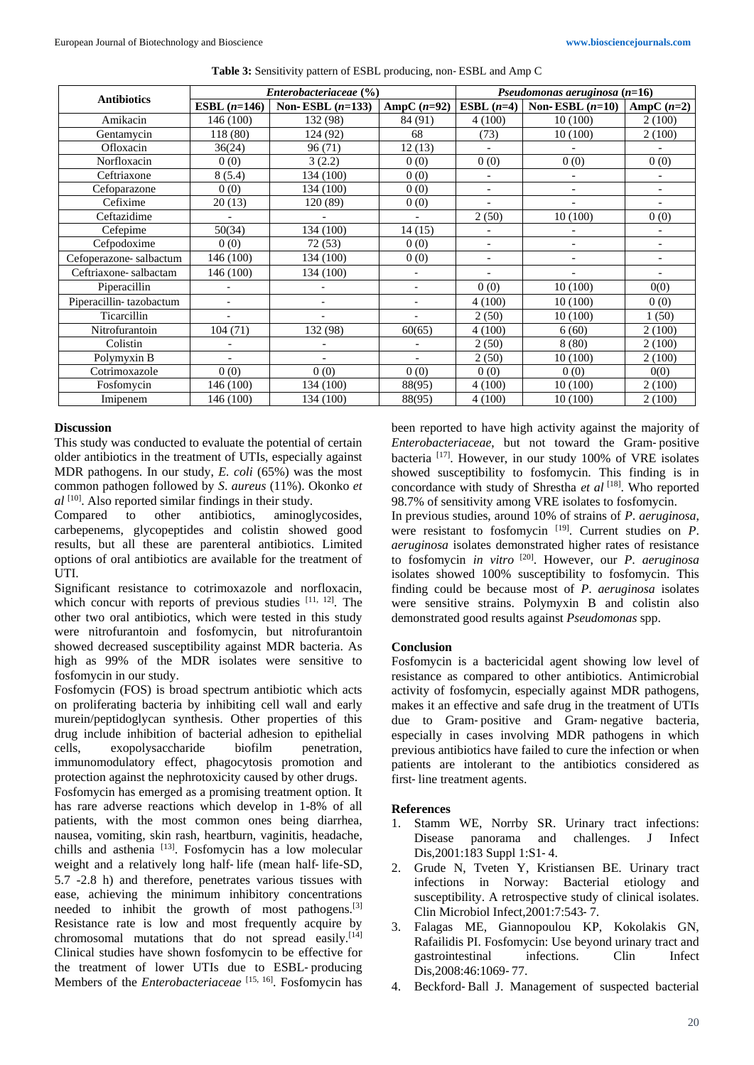|                         | Enterobacteriaceae (%) |                    |               | Pseudomonas aeruginosa $(n=16)$ |                          |                          |
|-------------------------|------------------------|--------------------|---------------|---------------------------------|--------------------------|--------------------------|
| <b>Antibiotics</b>      | ESBL $(n=146)$         | Non-ESBL $(n=133)$ | AmpC $(n=92)$ | ESBL $(n=4)$                    | Non-ESBL $(n=10)$        | AmpC $(n=2)$             |
| Amikacin                | 146 (100)              | 132 (98)           | 84 (91)       | 4(100)                          | 10(100)                  | 2(100)                   |
| Gentamycin              | 118 (80)               | 124 (92)           | 68            | (73)                            | 10(100)                  | 2(100)                   |
| Ofloxacin               | 36(24)                 | 96(71)             | 12(13)        |                                 |                          |                          |
| Norfloxacin             | 0(0)                   | 3(2.2)             | 0(0)          | 0(0)                            | 0(0)                     | 0(0)                     |
| Ceftriaxone             | 8(5.4)                 | 134 (100)          | 0(0)          | $\overline{\phantom{a}}$        |                          |                          |
| Cefoparazone            | 0(0)                   | 134 (100)          | 0(0)          | $\overline{\phantom{a}}$        | $\overline{\phantom{a}}$ |                          |
| Cefixime                | 20(13)                 | 120 (89)           | 0(0)          | $\blacksquare$                  |                          |                          |
| Ceftazidime             |                        |                    |               | 2(50)                           | 10(100)                  | 0(0)                     |
| Cefepime                | 50(34)                 | 134 (100)          | 14(15)        | $\overline{a}$                  |                          | $\overline{\phantom{a}}$ |
| Cefpodoxime             | 0(0)                   | 72 (53)            | 0(0)          | $\overline{\phantom{a}}$        | $\overline{\phantom{a}}$ | $\overline{\phantom{a}}$ |
| Cefoperazone-salbactum  | 146 (100)              | 134 (100)          | 0(0)          | $\overline{\phantom{a}}$        |                          | $\overline{\phantom{a}}$ |
| Ceftriaxone-salbactam   | 146 (100)              | 134 (100)          | ۰             | $\overline{a}$                  |                          |                          |
| Piperacillin            |                        |                    | ۰             | 0(0)                            | 10(100)                  | 0(0)                     |
| Piperacillin-tazobactum |                        |                    | ۰             | 4(100)                          | 10(100)                  | 0(0)                     |
| Ticarcillin             |                        | $\blacksquare$     |               | 2(50)                           | 10(100)                  | 1(50)                    |
| Nitrofurantoin          | 104(71)                | 132 (98)           | 60(65)        | 4(100)                          | 6(60)                    | 2(100)                   |
| Colistin                |                        | $\overline{a}$     |               | 2(50)                           | 8(80)                    | 2(100)                   |
| Polymyxin B             |                        |                    |               | 2(50)                           | 10(100)                  | 2(100)                   |
| Cotrimoxazole           | 0(0)                   | 0(0)               | 0(0)          | 0(0)                            | 0(0)                     | 0(0)                     |
| Fosfomycin              | 146 (100)              | 134 (100)          | 88(95)        | 4(100)                          | 10(100)                  | 2(100)                   |
| Imipenem                | 146 (100)              | 134 (100)          | 88(95)        | 4(100)                          | 10(100)                  | 2(100)                   |

**Table 3:** Sensitivity pattern of ESBL producing, non‑ ESBL and Amp C

### **Discussion**

This study was conducted to evaluate the potential of certain older antibiotics in the treatment of UTIs, especially against MDR pathogens. In our study, *E. coli* (65%) was the most common pathogen followed by *S*. *aureus* (11%). Okonko *et al* [10] . Also reported similar findings in their study.

Compared to other antibiotics, aminoglycosides, carbepenems, glycopeptides and colistin showed good results, but all these are parenteral antibiotics. Limited options of oral antibiotics are available for the treatment of UTI.

Significant resistance to cotrimoxazole and norfloxacin, which concur with reports of previous studies  $[11, 12]$ . The other two oral antibiotics, which were tested in this study were nitrofurantoin and fosfomycin, but nitrofurantoin showed decreased susceptibility against MDR bacteria. As high as 99% of the MDR isolates were sensitive to fosfomycin in our study.

Fosfomycin (FOS) is broad spectrum antibiotic which acts on proliferating bacteria by inhibiting cell wall and early murein/peptidoglycan synthesis. Other properties of this drug include inhibition of bacterial adhesion to epithelial cells, exopolysaccharide biofilm penetration, immunomodulatory effect, phagocytosis promotion and protection against the nephrotoxicity caused by other drugs. Fosfomycin has emerged as a promising treatment option. It has rare adverse reactions which develop in 1-8% of all patients, with the most common ones being diarrhea, nausea, vomiting, skin rash, heartburn, vaginitis, headache, chills and asthenia <a>[13]</a>. Fosfomycin has a low molecular weight and a relatively long half-life (mean half-life-SD, 5.7 -2.8 h) and therefore, penetrates various tissues with ease, achieving the minimum inhibitory concentrations needed to inhibit the growth of most pathogens.<sup>[3]</sup> Resistance rate is low and most frequently acquire by chromosomal mutations that do not spread easily.<sup>[14]</sup> Clinical studies have shown fosfomycin to be effective for the treatment of lower UTIs due to ESBL‑ producing Members of the *Enterobacteriaceae*<sup>[15, 16]</sup>. Fosfomycin has been reported to have high activity against the majority of *Enterobacteriaceae*, but not toward the Gram‑ positive bacteria<sup>[17]</sup>. However, in our study 100% of VRE isolates showed susceptibility to fosfomycin. This finding is in concordance with study of Shrestha *et al* [18] . Who reported 98.7% of sensitivity among VRE isolates to fosfomycin.

In previous studies, around 10% of strains of *P*. *aeruginosa*, were resistant to fosfomycin <sup>[19]</sup>. Current studies on *P*. *aeruginosa* isolates demonstrated higher rates of resistance to fosfomycin *in vitro* [20] . However, our *P*. *aeruginosa*  isolates showed 100% susceptibility to fosfomycin. This finding could be because most of *P*. *aeruginosa* isolates were sensitive strains. Polymyxin B and colistin also demonstrated good results against *Pseudomonas* spp.

### **Conclusion**

Fosfomycin is a bactericidal agent showing low level of resistance as compared to other antibiotics. Antimicrobial activity of fosfomycin, especially against MDR pathogens, makes it an effective and safe drug in the treatment of UTIs due to Gram‑ positive and Gram‑ negative bacteria, especially in cases involving MDR pathogens in which previous antibiotics have failed to cure the infection or when patients are intolerant to the antibiotics considered as first-line treatment agents.

### **References**

- 1. Stamm WE, Norrby SR. Urinary tract infections: Disease panorama and challenges. J Infect Dis, 2001:183 Suppl 1:S1-4.
- 2. Grude N, Tveten Y, Kristiansen BE. Urinary tract infections in Norway: Bacterial etiology and susceptibility. A retrospective study of clinical isolates. Clin Microbiol Infect,2001:7:543‑ 7.
- 3. Falagas ME, Giannopoulou KP, Kokolakis GN, Rafailidis PI. Fosfomycin: Use beyond urinary tract and gastrointestinal infections. Clin Infect Dis.2008:46:1069-77.
- 4. Beckford‑ Ball J. Management of suspected bacterial